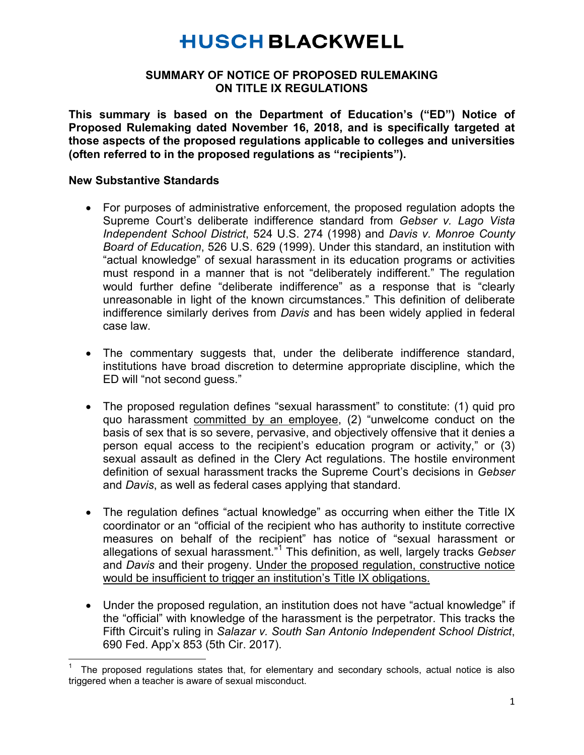# **HUSCH BLACKWELL**

#### **SUMMARY OF NOTICE OF PROPOSED RULEMAKING ON TITLE IX REGULATIONS**

**This summary is based on the Department of Education's ("ED") Notice of Proposed Rulemaking dated November 16, 2018, and is specifically targeted at those aspects of the proposed regulations applicable to colleges and universities (often referred to in the proposed regulations as "recipients").**

#### **New Substantive Standards**

- For purposes of administrative enforcement, the proposed regulation adopts the Supreme Court's deliberate indifference standard from *Gebser v. Lago Vista Independent School District*, 524 U.S. 274 (1998) and *Davis v. Monroe County Board of Education*, 526 U.S. 629 (1999). Under this standard, an institution with "actual knowledge" of sexual harassment in its education programs or activities must respond in a manner that is not "deliberately indifferent." The regulation would further define "deliberate indifference" as a response that is "clearly unreasonable in light of the known circumstances." This definition of deliberate indifference similarly derives from *Davis* and has been widely applied in federal case law.
- The commentary suggests that, under the deliberate indifference standard, institutions have broad discretion to determine appropriate discipline, which the ED will "not second guess."
- The proposed regulation defines "sexual harassment" to constitute: (1) quid pro quo harassment committed by an employee, (2) "unwelcome conduct on the basis of sex that is so severe, pervasive, and objectively offensive that it denies a person equal access to the recipient's education program or activity," or (3) sexual assault as defined in the Clery Act regulations. The hostile environment definition of sexual harassment tracks the Supreme Court's decisions in *Gebser* and *Davis*, as well as federal cases applying that standard.
- The regulation defines "actual knowledge" as occurring when either the Title IX coordinator or an "official of the recipient who has authority to institute corrective measures on behalf of the recipient" has notice of "sexual harassment or allegations of sexual harassment."[1](#page-0-0) This definition, as well, largely tracks *Gebser* and *Davis* and their progeny. Under the proposed regulation, constructive notice would be insufficient to trigger an institution's Title IX obligations.
- Under the proposed regulation, an institution does not have "actual knowledge" if the "official" with knowledge of the harassment is the perpetrator. This tracks the Fifth Circuit's ruling in *Salazar v. South San Antonio Independent School District*, 690 Fed. App'x 853 (5th Cir. 2017).

<span id="page-0-0"></span><sup>|&</sup>lt;br>1 The proposed regulations states that, for elementary and secondary schools, actual notice is also triggered when a teacher is aware of sexual misconduct.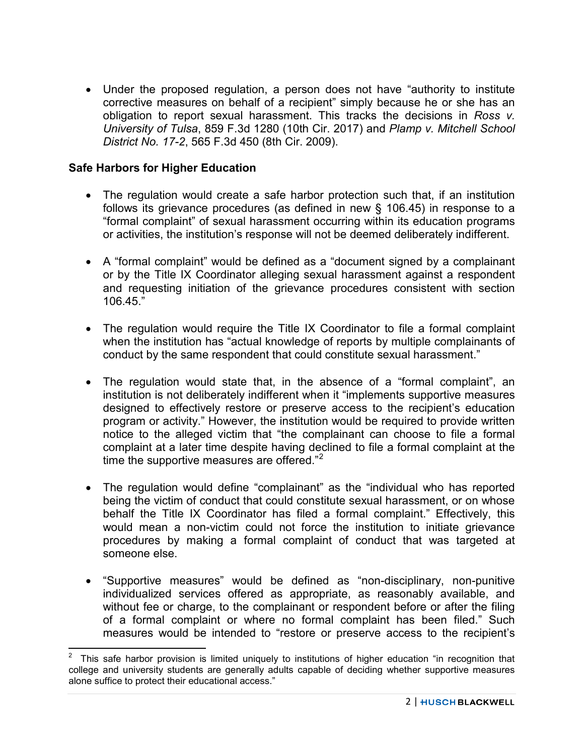• Under the proposed regulation, a person does not have "authority to institute corrective measures on behalf of a recipient" simply because he or she has an obligation to report sexual harassment. This tracks the decisions in *Ross v. University of Tulsa*, 859 F.3d 1280 (10th Cir. 2017) and *Plamp v. Mitchell School District No. 17-2*, 565 F.3d 450 (8th Cir. 2009).

#### **Safe Harbors for Higher Education**

- The regulation would create a safe harbor protection such that, if an institution follows its grievance procedures (as defined in new § 106.45) in response to a "formal complaint" of sexual harassment occurring within its education programs or activities, the institution's response will not be deemed deliberately indifferent.
- A "formal complaint" would be defined as a "document signed by a complainant or by the Title IX Coordinator alleging sexual harassment against a respondent and requesting initiation of the grievance procedures consistent with section 106.45."
- The regulation would require the Title IX Coordinator to file a formal complaint when the institution has "actual knowledge of reports by multiple complainants of conduct by the same respondent that could constitute sexual harassment."
- The regulation would state that, in the absence of a "formal complaint", an institution is not deliberately indifferent when it "implements supportive measures designed to effectively restore or preserve access to the recipient's education program or activity." However, the institution would be required to provide written notice to the alleged victim that "the complainant can choose to file a formal complaint at a later time despite having declined to file a formal complaint at the time the supportive measures are offered." $2^2$  $2^2$
- The regulation would define "complainant" as the "individual who has reported being the victim of conduct that could constitute sexual harassment, or on whose behalf the Title IX Coordinator has filed a formal complaint." Effectively, this would mean a non-victim could not force the institution to initiate grievance procedures by making a formal complaint of conduct that was targeted at someone else.
- "Supportive measures" would be defined as "non-disciplinary, non-punitive individualized services offered as appropriate, as reasonably available, and without fee or charge, to the complainant or respondent before or after the filing of a formal complaint or where no formal complaint has been filed." Such measures would be intended to "restore or preserve access to the recipient's

<span id="page-1-0"></span>This safe harbor provision is limited uniquely to institutions of higher education "in recognition that college and university students are generally adults capable of deciding whether supportive measures alone suffice to protect their educational access."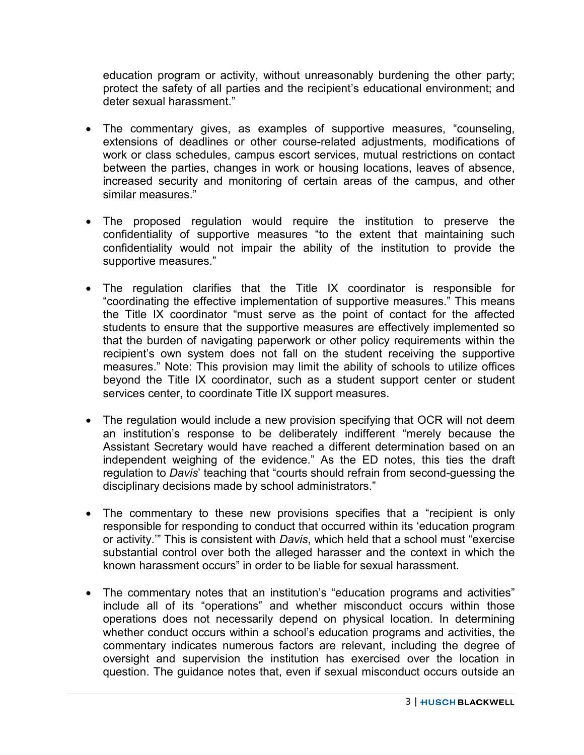education program or activity, without unreasonably burdening the other party; protect the safety of all parties and the recipient's educational environment; and deter sexual harassment."

- The commentary gives, as examples of supportive measures, "counseling, extensions of deadlines or other course-related adjustments, modifications of work or class schedules, campus escort services, mutual restrictions on contact between the parties, changes in work or housing locations, leaves of absence, increased security and monitoring of certain areas of the campus, and other similar measures."
- The proposed regulation would require the institution to preserve the confidentiality of supportive measures "to the extent that maintaining such confidentiality would not impair the ability of the institution to provide the supportive measures."
- The regulation clarifies that the Title IX coordinator is responsible for "coordinating the effective implementation of supportive measures." This means the Title IX coordinator "must serve as the point of contact for the affected students to ensure that the supportive measures are effectively implemented so that the burden of navigating paperwork or other policy requirements within the recipient's own system does not fall on the student receiving the supportive measures." Note: This provision may limit the ability of schools to utilize offices beyond the Title IX coordinator, such as a student support center or student services center, to coordinate Title IX support measures.
- The regulation would include a new provision specifying that OCR will not deem an institution's response to be deliberately indifferent "merely because the Assistant Secretary would have reached a different determination based on an independent weighing of the evidence." As the ED notes, this ties the draft regulation to *Davis*' teaching that "courts should refrain from second-guessing the disciplinary decisions made by school administrators."
- The commentary to these new provisions specifies that a "recipient is only responsible for responding to conduct that occurred within its 'education program or activity.'" This is consistent with *Davis*, which held that a school must "exercise substantial control over both the alleged harasser and the context in which the known harassment occurs" in order to be liable for sexual harassment.
- The commentary notes that an institution's "education programs and activities" include all of its "operations" and whether misconduct occurs within those operations does not necessarily depend on physical location. In determining whether conduct occurs within a school's education programs and activities, the commentary indicates numerous factors are relevant, including the degree of oversight and supervision the institution has exercised over the location in question. The guidance notes that, even if sexual misconduct occurs outside an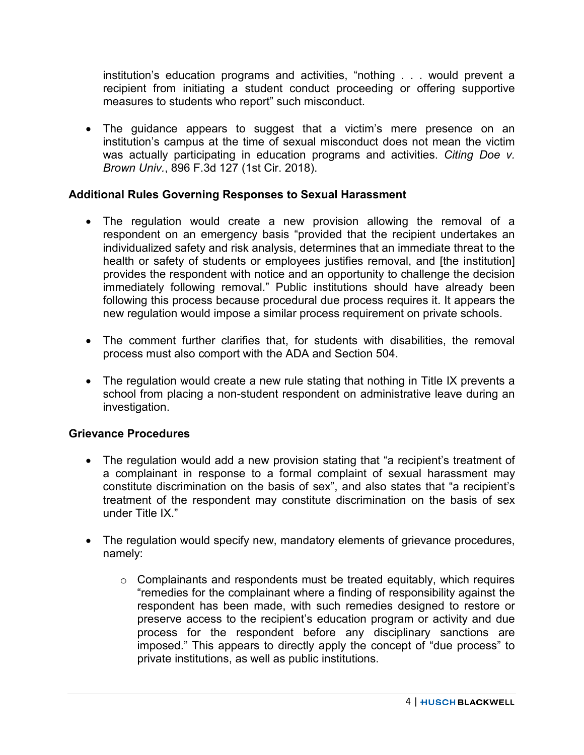institution's education programs and activities, "nothing . . . would prevent a recipient from initiating a student conduct proceeding or offering supportive measures to students who report" such misconduct.

• The guidance appears to suggest that a victim's mere presence on an institution's campus at the time of sexual misconduct does not mean the victim was actually participating in education programs and activities. *Citing Doe v. Brown Univ.*, 896 F.3d 127 (1st Cir. 2018).

## **Additional Rules Governing Responses to Sexual Harassment**

- The regulation would create a new provision allowing the removal of a respondent on an emergency basis "provided that the recipient undertakes an individualized safety and risk analysis, determines that an immediate threat to the health or safety of students or employees justifies removal, and [the institution] provides the respondent with notice and an opportunity to challenge the decision immediately following removal." Public institutions should have already been following this process because procedural due process requires it. It appears the new regulation would impose a similar process requirement on private schools.
- The comment further clarifies that, for students with disabilities, the removal process must also comport with the ADA and Section 504.
- The regulation would create a new rule stating that nothing in Title IX prevents a school from placing a non-student respondent on administrative leave during an investigation.

#### **Grievance Procedures**

- The regulation would add a new provision stating that "a recipient's treatment of a complainant in response to a formal complaint of sexual harassment may constitute discrimination on the basis of sex", and also states that "a recipient's treatment of the respondent may constitute discrimination on the basis of sex under Title IX."
- The regulation would specify new, mandatory elements of grievance procedures, namely:
	- $\circ$  Complainants and respondents must be treated equitably, which requires "remedies for the complainant where a finding of responsibility against the respondent has been made, with such remedies designed to restore or preserve access to the recipient's education program or activity and due process for the respondent before any disciplinary sanctions are imposed." This appears to directly apply the concept of "due process" to private institutions, as well as public institutions.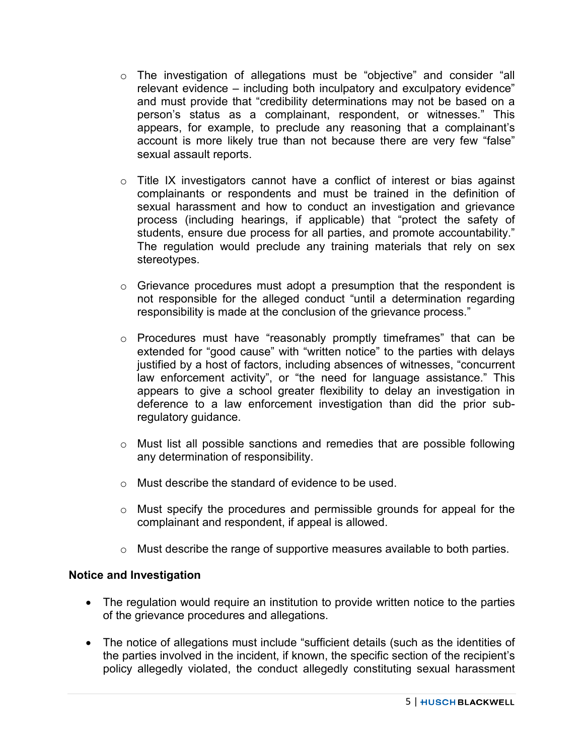- o The investigation of allegations must be "objective" and consider "all relevant evidence – including both inculpatory and exculpatory evidence" and must provide that "credibility determinations may not be based on a person's status as a complainant, respondent, or witnesses." This appears, for example, to preclude any reasoning that a complainant's account is more likely true than not because there are very few "false" sexual assault reports.
- o Title IX investigators cannot have a conflict of interest or bias against complainants or respondents and must be trained in the definition of sexual harassment and how to conduct an investigation and grievance process (including hearings, if applicable) that "protect the safety of students, ensure due process for all parties, and promote accountability." The regulation would preclude any training materials that rely on sex stereotypes.
- $\circ$  Grievance procedures must adopt a presumption that the respondent is not responsible for the alleged conduct "until a determination regarding responsibility is made at the conclusion of the grievance process."
- o Procedures must have "reasonably promptly timeframes" that can be extended for "good cause" with "written notice" to the parties with delays justified by a host of factors, including absences of witnesses, "concurrent law enforcement activity", or "the need for language assistance." This appears to give a school greater flexibility to delay an investigation in deference to a law enforcement investigation than did the prior subregulatory guidance.
- o Must list all possible sanctions and remedies that are possible following any determination of responsibility.
- o Must describe the standard of evidence to be used.
- o Must specify the procedures and permissible grounds for appeal for the complainant and respondent, if appeal is allowed.
- o Must describe the range of supportive measures available to both parties.

#### **Notice and Investigation**

- The regulation would require an institution to provide written notice to the parties of the grievance procedures and allegations.
- The notice of allegations must include "sufficient details (such as the identities of the parties involved in the incident, if known, the specific section of the recipient's policy allegedly violated, the conduct allegedly constituting sexual harassment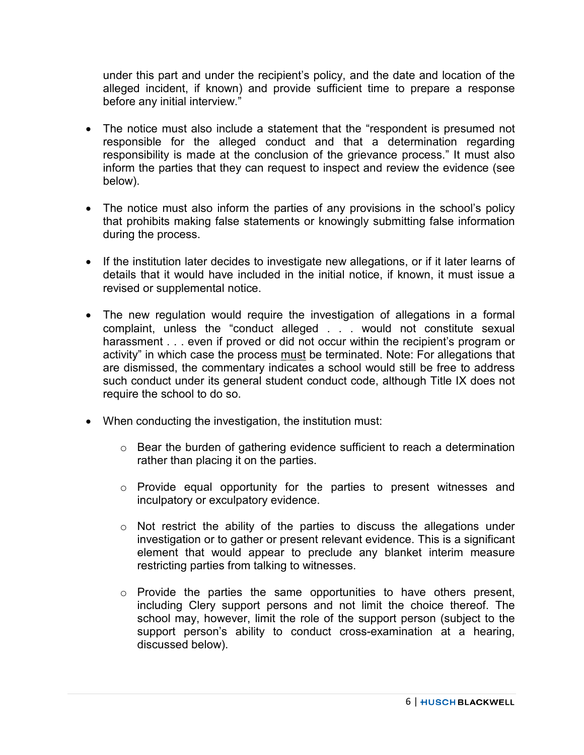under this part and under the recipient's policy, and the date and location of the alleged incident, if known) and provide sufficient time to prepare a response before any initial interview."

- The notice must also include a statement that the "respondent is presumed not responsible for the alleged conduct and that a determination regarding responsibility is made at the conclusion of the grievance process." It must also inform the parties that they can request to inspect and review the evidence (see below).
- The notice must also inform the parties of any provisions in the school's policy that prohibits making false statements or knowingly submitting false information during the process.
- If the institution later decides to investigate new allegations, or if it later learns of details that it would have included in the initial notice, if known, it must issue a revised or supplemental notice.
- The new regulation would require the investigation of allegations in a formal complaint, unless the "conduct alleged . . . would not constitute sexual harassment . . . even if proved or did not occur within the recipient's program or activity" in which case the process must be terminated. Note: For allegations that are dismissed, the commentary indicates a school would still be free to address such conduct under its general student conduct code, although Title IX does not require the school to do so.
- When conducting the investigation, the institution must:
	- o Bear the burden of gathering evidence sufficient to reach a determination rather than placing it on the parties.
	- o Provide equal opportunity for the parties to present witnesses and inculpatory or exculpatory evidence.
	- $\circ$  Not restrict the ability of the parties to discuss the allegations under investigation or to gather or present relevant evidence. This is a significant element that would appear to preclude any blanket interim measure restricting parties from talking to witnesses.
	- $\circ$  Provide the parties the same opportunities to have others present, including Clery support persons and not limit the choice thereof. The school may, however, limit the role of the support person (subject to the support person's ability to conduct cross-examination at a hearing, discussed below).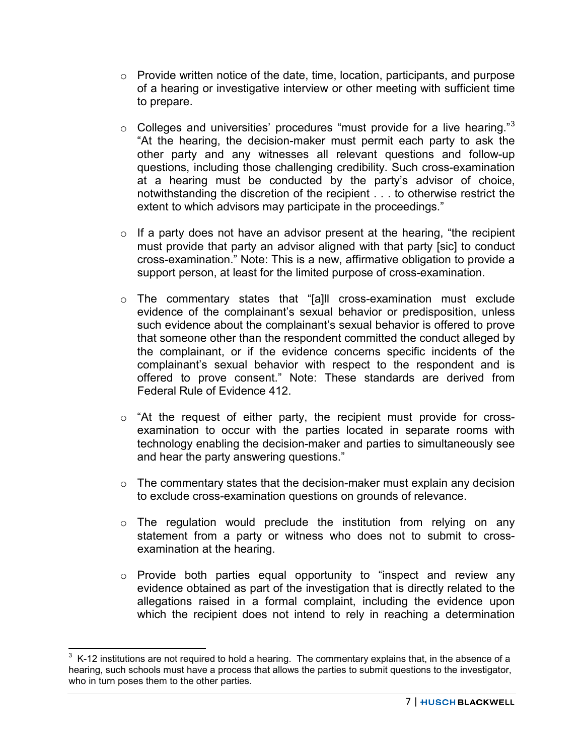- $\circ$  Provide written notice of the date, time, location, participants, and purpose of a hearing or investigative interview or other meeting with sufficient time to prepare.
- $\circ$  Colleges and universities' procedures "must provide for a live hearing."<sup>[3](#page-6-0)</sup> "At the hearing, the decision-maker must permit each party to ask the other party and any witnesses all relevant questions and follow-up questions, including those challenging credibility. Such cross-examination at a hearing must be conducted by the party's advisor of choice, notwithstanding the discretion of the recipient . . . to otherwise restrict the extent to which advisors may participate in the proceedings."
- $\circ$  If a party does not have an advisor present at the hearing, "the recipient must provide that party an advisor aligned with that party [sic] to conduct cross-examination." Note: This is a new, affirmative obligation to provide a support person, at least for the limited purpose of cross-examination.
- o The commentary states that "[a]ll cross-examination must exclude evidence of the complainant's sexual behavior or predisposition, unless such evidence about the complainant's sexual behavior is offered to prove that someone other than the respondent committed the conduct alleged by the complainant, or if the evidence concerns specific incidents of the complainant's sexual behavior with respect to the respondent and is offered to prove consent." Note: These standards are derived from Federal Rule of Evidence 412.
- $\circ$  "At the request of either party, the recipient must provide for crossexamination to occur with the parties located in separate rooms with technology enabling the decision-maker and parties to simultaneously see and hear the party answering questions."
- $\circ$  The commentary states that the decision-maker must explain any decision to exclude cross-examination questions on grounds of relevance.
- $\circ$  The regulation would preclude the institution from relying on any statement from a party or witness who does not to submit to crossexamination at the hearing.
- o Provide both parties equal opportunity to "inspect and review any evidence obtained as part of the investigation that is directly related to the allegations raised in a formal complaint, including the evidence upon which the recipient does not intend to rely in reaching a determination

<span id="page-6-0"></span> $\frac{3}{10}$  K-12 institutions are not required to hold a hearing. The commentary explains that, in the absence of a hearing, such schools must have a process that allows the parties to submit questions to the investigator, who in turn poses them to the other parties.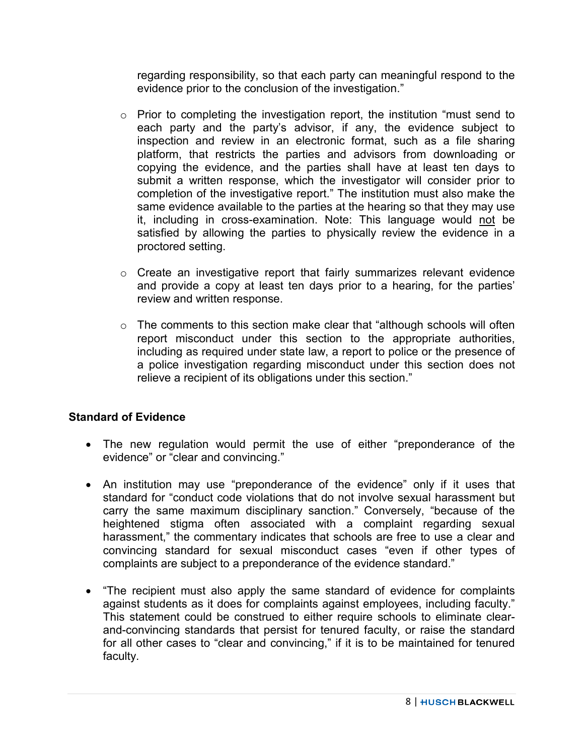regarding responsibility, so that each party can meaningful respond to the evidence prior to the conclusion of the investigation."

- o Prior to completing the investigation report, the institution "must send to each party and the party's advisor, if any, the evidence subject to inspection and review in an electronic format, such as a file sharing platform, that restricts the parties and advisors from downloading or copying the evidence, and the parties shall have at least ten days to submit a written response, which the investigator will consider prior to completion of the investigative report." The institution must also make the same evidence available to the parties at the hearing so that they may use it, including in cross-examination. Note: This language would not be satisfied by allowing the parties to physically review the evidence in a proctored setting.
- $\circ$  Create an investigative report that fairly summarizes relevant evidence and provide a copy at least ten days prior to a hearing, for the parties' review and written response.
- o The comments to this section make clear that "although schools will often report misconduct under this section to the appropriate authorities, including as required under state law, a report to police or the presence of a police investigation regarding misconduct under this section does not relieve a recipient of its obligations under this section."

# **Standard of Evidence**

- The new regulation would permit the use of either "preponderance of the evidence" or "clear and convincing."
- An institution may use "preponderance of the evidence" only if it uses that standard for "conduct code violations that do not involve sexual harassment but carry the same maximum disciplinary sanction." Conversely, "because of the heightened stigma often associated with a complaint regarding sexual harassment," the commentary indicates that schools are free to use a clear and convincing standard for sexual misconduct cases "even if other types of complaints are subject to a preponderance of the evidence standard."
- "The recipient must also apply the same standard of evidence for complaints against students as it does for complaints against employees, including faculty." This statement could be construed to either require schools to eliminate clearand-convincing standards that persist for tenured faculty, or raise the standard for all other cases to "clear and convincing," if it is to be maintained for tenured faculty.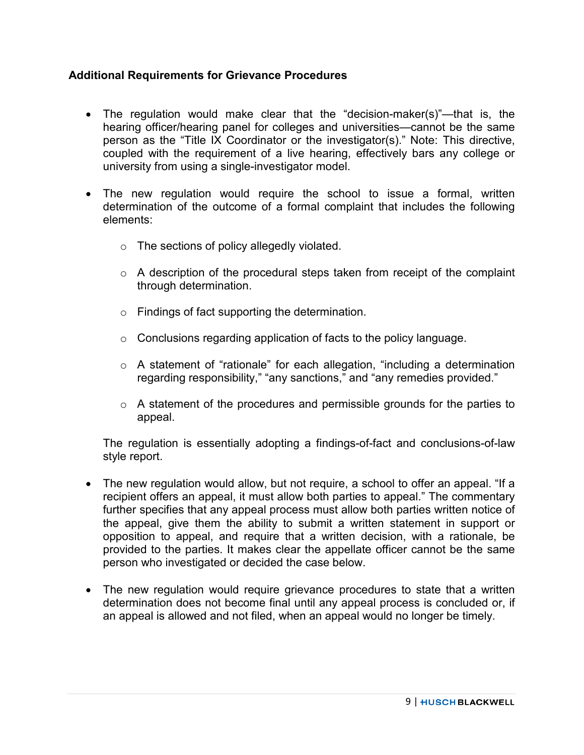## **Additional Requirements for Grievance Procedures**

- The regulation would make clear that the "decision-maker(s)"—that is, the hearing officer/hearing panel for colleges and universities—cannot be the same person as the "Title IX Coordinator or the investigator(s)." Note: This directive, coupled with the requirement of a live hearing, effectively bars any college or university from using a single-investigator model.
- The new regulation would require the school to issue a formal, written determination of the outcome of a formal complaint that includes the following elements:
	- o The sections of policy allegedly violated.
	- $\circ$  A description of the procedural steps taken from receipt of the complaint through determination.
	- o Findings of fact supporting the determination.
	- $\circ$  Conclusions regarding application of facts to the policy language.
	- o A statement of "rationale" for each allegation, "including a determination regarding responsibility," "any sanctions," and "any remedies provided."
	- $\circ$  A statement of the procedures and permissible grounds for the parties to appeal.

The regulation is essentially adopting a findings-of-fact and conclusions-of-law style report.

- The new regulation would allow, but not require, a school to offer an appeal. "If a recipient offers an appeal, it must allow both parties to appeal." The commentary further specifies that any appeal process must allow both parties written notice of the appeal, give them the ability to submit a written statement in support or opposition to appeal, and require that a written decision, with a rationale, be provided to the parties. It makes clear the appellate officer cannot be the same person who investigated or decided the case below.
- The new regulation would require grievance procedures to state that a written determination does not become final until any appeal process is concluded or, if an appeal is allowed and not filed, when an appeal would no longer be timely.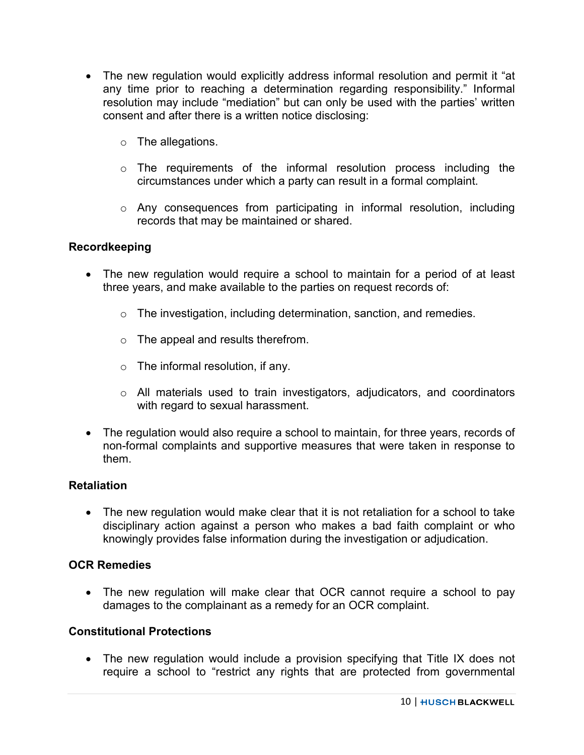- The new regulation would explicitly address informal resolution and permit it "at any time prior to reaching a determination regarding responsibility." Informal resolution may include "mediation" but can only be used with the parties' written consent and after there is a written notice disclosing:
	- o The allegations.
	- o The requirements of the informal resolution process including the circumstances under which a party can result in a formal complaint.
	- o Any consequences from participating in informal resolution, including records that may be maintained or shared.

#### **Recordkeeping**

- The new regulation would require a school to maintain for a period of at least three years, and make available to the parties on request records of:
	- $\circ$  The investigation, including determination, sanction, and remedies.
	- o The appeal and results therefrom.
	- $\circ$  The informal resolution, if any.
	- o All materials used to train investigators, adjudicators, and coordinators with regard to sexual harassment.
- The regulation would also require a school to maintain, for three years, records of non-formal complaints and supportive measures that were taken in response to them.

#### **Retaliation**

• The new regulation would make clear that it is not retaliation for a school to take disciplinary action against a person who makes a bad faith complaint or who knowingly provides false information during the investigation or adjudication.

#### **OCR Remedies**

• The new regulation will make clear that OCR cannot require a school to pay damages to the complainant as a remedy for an OCR complaint.

#### **Constitutional Protections**

• The new regulation would include a provision specifying that Title IX does not require a school to "restrict any rights that are protected from governmental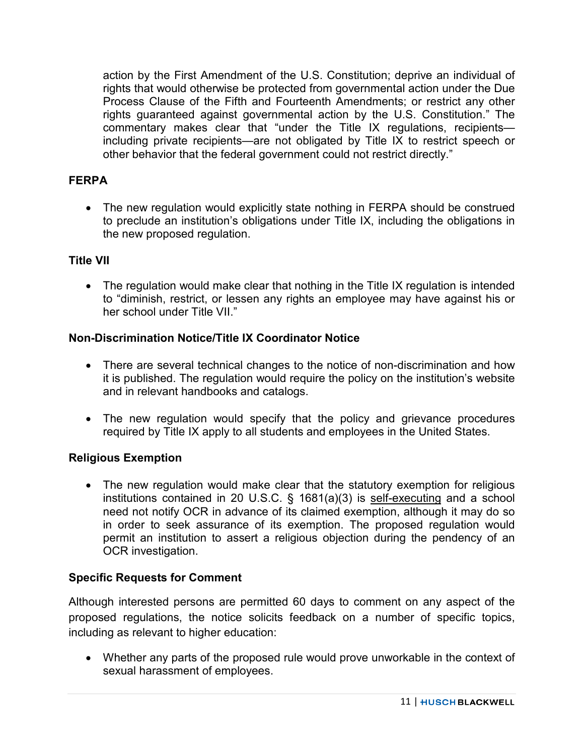action by the First Amendment of the U.S. Constitution; deprive an individual of rights that would otherwise be protected from governmental action under the Due Process Clause of the Fifth and Fourteenth Amendments; or restrict any other rights guaranteed against governmental action by the U.S. Constitution." The commentary makes clear that "under the Title IX regulations, recipients including private recipients—are not obligated by Title IX to restrict speech or other behavior that the federal government could not restrict directly."

## **FERPA**

• The new regulation would explicitly state nothing in FERPA should be construed to preclude an institution's obligations under Title IX, including the obligations in the new proposed regulation.

## **Title VII**

• The regulation would make clear that nothing in the Title IX regulation is intended to "diminish, restrict, or lessen any rights an employee may have against his or her school under Title VII."

## **Non-Discrimination Notice/Title IX Coordinator Notice**

- There are several technical changes to the notice of non-discrimination and how it is published. The regulation would require the policy on the institution's website and in relevant handbooks and catalogs.
- The new regulation would specify that the policy and grievance procedures required by Title IX apply to all students and employees in the United States.

## **Religious Exemption**

• The new regulation would make clear that the statutory exemption for religious institutions contained in 20 U.S.C. § 1681(a)(3) is self-executing and a school need not notify OCR in advance of its claimed exemption, although it may do so in order to seek assurance of its exemption. The proposed regulation would permit an institution to assert a religious objection during the pendency of an OCR investigation.

## **Specific Requests for Comment**

Although interested persons are permitted 60 days to comment on any aspect of the proposed regulations, the notice solicits feedback on a number of specific topics, including as relevant to higher education:

• Whether any parts of the proposed rule would prove unworkable in the context of sexual harassment of employees.